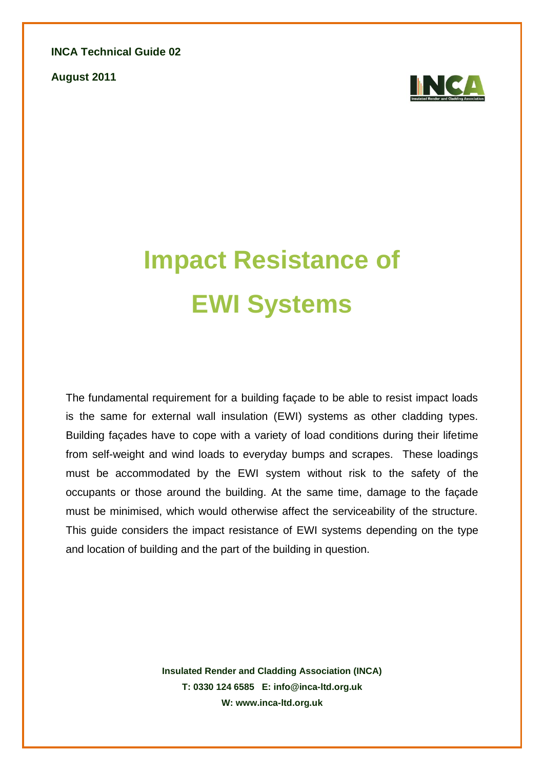**INCA Technical Guide 02**

**August 2011**



# **Impact Resistance of EWI Systems**

The fundamental requirement for a building façade to be able to resist impact loads is the same for external wall insulation (EWI) systems as other cladding types. Building façades have to cope with a variety of load conditions during their lifetime from self-weight and wind loads to everyday bumps and scrapes. These loadings must be accommodated by the EWI system without risk to the safety of the occupants or those around the building. At the same time, damage to the façade must be minimised, which would otherwise affect the serviceability of the structure. This guide considers the impact resistance of EWI systems depending on the type and location of building and the part of the building in question.

> **Insulated Render and Cladding Association (INCA) T: 0330 124 6585 E: info@inca-ltd.org.uk W: www.inca-ltd.org.uk**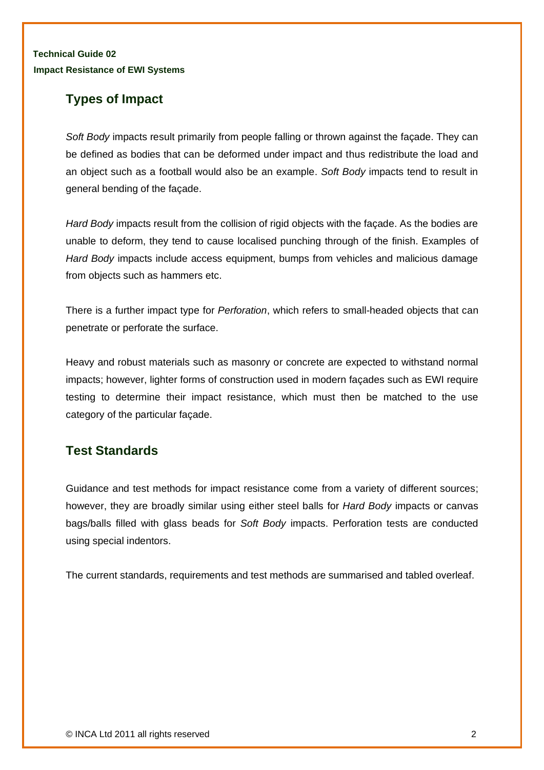# **Types of Impact**

*Soft Body* impacts result primarily from people falling or thrown against the façade. They can be defined as bodies that can be deformed under impact and thus redistribute the load and an object such as a football would also be an example. *Soft Body* impacts tend to result in general bending of the façade.

*Hard Body* impacts result from the collision of rigid objects with the façade. As the bodies are unable to deform, they tend to cause localised punching through of the finish. Examples of *Hard Body* impacts include access equipment, bumps from vehicles and malicious damage from objects such as hammers etc.

There is a further impact type for *Perforation*, which refers to small-headed objects that can penetrate or perforate the surface.

Heavy and robust materials such as masonry or concrete are expected to withstand normal impacts; however, lighter forms of construction used in modern façades such as EWI require testing to determine their impact resistance, which must then be matched to the use category of the particular façade.

## **Test Standards**

Guidance and test methods for impact resistance come from a variety of different sources; however, they are broadly similar using either steel balls for *Hard Body* impacts or canvas bags/balls filled with glass beads for *Soft Body* impacts. Perforation tests are conducted using special indentors.

The current standards, requirements and test methods are summarised and tabled overleaf.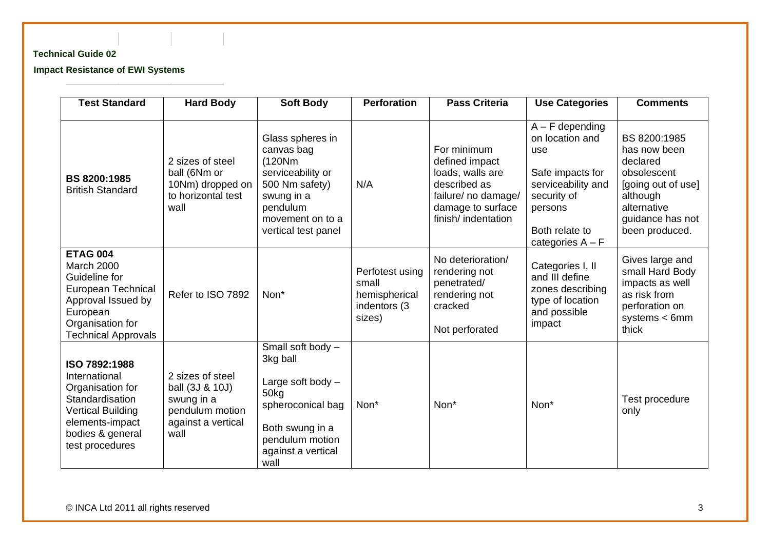#### **Technical Guide 02**

**Impact Resistance of EWI Systems**

| <b>Test Standard</b>                                                                                                                                            | <b>Hard Body</b>                                                                                   | <b>Soft Body</b>                                                                                                                                      | <b>Perforation</b>                                                  | <b>Pass Criteria</b>                                                                                                                | <b>Use Categories</b>                                                                                                                                   | <b>Comments</b>                                                                                                                                |
|-----------------------------------------------------------------------------------------------------------------------------------------------------------------|----------------------------------------------------------------------------------------------------|-------------------------------------------------------------------------------------------------------------------------------------------------------|---------------------------------------------------------------------|-------------------------------------------------------------------------------------------------------------------------------------|---------------------------------------------------------------------------------------------------------------------------------------------------------|------------------------------------------------------------------------------------------------------------------------------------------------|
| BS 8200:1985<br><b>British Standard</b>                                                                                                                         | 2 sizes of steel<br>ball (6Nm or<br>10Nm) dropped on<br>to horizontal test<br>wall                 | Glass spheres in<br>canvas bag<br>(120Nm)<br>serviceability or<br>500 Nm safety)<br>swung in a<br>pendulum<br>movement on to a<br>vertical test panel | N/A                                                                 | For minimum<br>defined impact<br>loads, walls are<br>described as<br>failure/ no damage/<br>damage to surface<br>finish/indentation | $A - F$ depending<br>on location and<br>use<br>Safe impacts for<br>serviceability and<br>security of<br>persons<br>Both relate to<br>categories $A - F$ | BS 8200:1985<br>has now been<br>declared<br>obsolescent<br>[going out of use]<br>although<br>alternative<br>guidance has not<br>been produced. |
| <b>ETAG 004</b><br><b>March 2000</b><br>Guideline for<br>European Technical<br>Approval Issued by<br>European<br>Organisation for<br><b>Technical Approvals</b> | Refer to ISO 7892                                                                                  | Non*                                                                                                                                                  | Perfotest using<br>small<br>hemispherical<br>indentors (3<br>sizes) | No deterioration/<br>rendering not<br>penetrated/<br>rendering not<br>cracked<br>Not perforated                                     | Categories I, II<br>and III define<br>zones describing<br>type of location<br>and possible<br>impact                                                    | Gives large and<br>small Hard Body<br>impacts as well<br>as risk from<br>perforation on<br>systems $< 6$ mm<br>thick                           |
| ISO 7892:1988<br>International<br>Organisation for<br>Standardisation<br><b>Vertical Building</b><br>elements-impact<br>bodies & general<br>test procedures     | 2 sizes of steel<br>ball (3J & 10J)<br>swung in a<br>pendulum motion<br>against a vertical<br>wall | Small soft body -<br>3kg ball<br>Large soft body $-$<br>50kg<br>spheroconical bag<br>Both swung in a<br>pendulum motion<br>against a vertical<br>wall | Non*                                                                | Non*                                                                                                                                | Non*                                                                                                                                                    | Test procedure<br>only                                                                                                                         |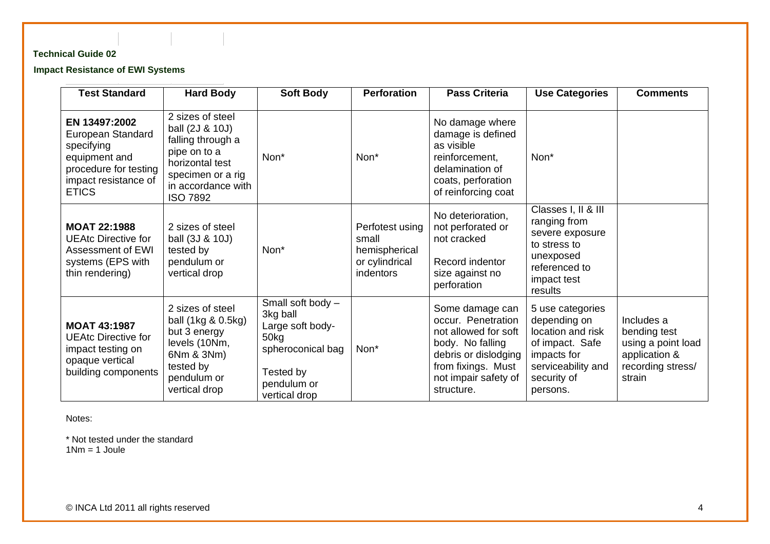### **Technical Guide 02**

#### **Impact Resistance of EWI Systems**

| <b>Test Standard</b>                                                                                                               | <b>Hard Body</b>                                                                                                                                          | <b>Soft Body</b>                                                                                                            | <b>Perforation</b>                                                              | <b>Pass Criteria</b>                                                                                                                                                  | <b>Use Categories</b>                                                                                                                    | <b>Comments</b>                                                                                  |
|------------------------------------------------------------------------------------------------------------------------------------|-----------------------------------------------------------------------------------------------------------------------------------------------------------|-----------------------------------------------------------------------------------------------------------------------------|---------------------------------------------------------------------------------|-----------------------------------------------------------------------------------------------------------------------------------------------------------------------|------------------------------------------------------------------------------------------------------------------------------------------|--------------------------------------------------------------------------------------------------|
| EN 13497:2002<br>European Standard<br>specifying<br>equipment and<br>procedure for testing<br>impact resistance of<br><b>ETICS</b> | 2 sizes of steel<br>ball (2J & 10J)<br>falling through a<br>pipe on to a<br>horizontal test<br>specimen or a rig<br>in accordance with<br><b>ISO 7892</b> | Non*                                                                                                                        | Non*                                                                            | No damage where<br>damage is defined<br>as visible<br>reinforcement,<br>delamination of<br>coats, perforation<br>of reinforcing coat                                  | Non*                                                                                                                                     |                                                                                                  |
| <b>MOAT 22:1988</b><br><b>UEAtc Directive for</b><br>Assessment of EWI<br>systems (EPS with<br>thin rendering)                     | 2 sizes of steel<br>ball (3J & 10J)<br>tested by<br>pendulum or<br>vertical drop                                                                          | Non*                                                                                                                        | Perfotest using<br>small<br>hemispherical<br>or cylindrical<br><i>indentors</i> | No deterioration,<br>not perforated or<br>not cracked<br>Record indentor<br>size against no<br>perforation                                                            | Classes I, II & III<br>ranging from<br>severe exposure<br>to stress to<br>unexposed<br>referenced to<br>impact test<br>results           |                                                                                                  |
| <b>MOAT 43:1987</b><br><b>UEAtc Directive for</b><br>impact testing on<br>opaque vertical<br>building components                   | 2 sizes of steel<br>ball (1kg & 0.5kg)<br>but 3 energy<br>levels (10Nm,<br>6Nm & 3Nm)<br>tested by<br>pendulum or<br>vertical drop                        | Small soft body -<br>3kg ball<br>Large soft body-<br>50kg<br>spheroconical bag<br>Tested by<br>pendulum or<br>vertical drop | Non*                                                                            | Some damage can<br>occur. Penetration<br>not allowed for soft<br>body. No falling<br>debris or dislodging<br>from fixings. Must<br>not impair safety of<br>structure. | 5 use categories<br>depending on<br>location and risk<br>of impact. Safe<br>impacts for<br>serviceability and<br>security of<br>persons. | Includes a<br>bending test<br>using a point load<br>application &<br>recording stress/<br>strain |

Notes:

\* Not tested under the standard  $1Nm = 1$  Joule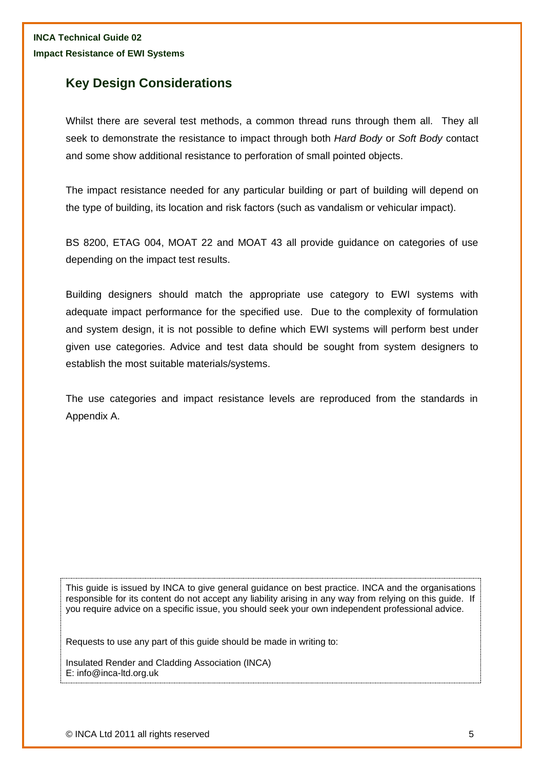## **Key Design Considerations**

Whilst there are several test methods, a common thread runs through them all. They all seek to demonstrate the resistance to impact through both *Hard Body* or *Soft Body* contact and some show additional resistance to perforation of small pointed objects.

The impact resistance needed for any particular building or part of building will depend on the type of building, its location and risk factors (such as vandalism or vehicular impact).

BS 8200, ETAG 004, MOAT 22 and MOAT 43 all provide guidance on categories of use depending on the impact test results.

Building designers should match the appropriate use category to EWI systems with adequate impact performance for the specified use. Due to the complexity of formulation and system design, it is not possible to define which EWI systems will perform best under given use categories. Advice and test data should be sought from system designers to establish the most suitable materials/systems.

The use categories and impact resistance levels are reproduced from the standards in Appendix A.

This guide is issued by INCA to give general guidance on best practice. INCA and the organisations responsible for its content do not accept any liability arising in any way from relying on this guide. If you require advice on a specific issue, you should seek your own independent professional advice.

Requests to use any part of this guide should be made in writing to:

Insulated Render and Cladding Association (INCA) E: info@inca-ltd.org.uk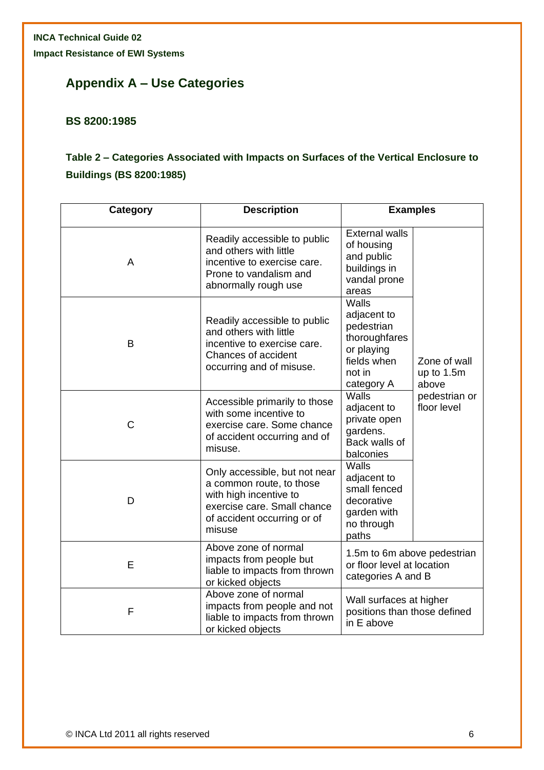# **Appendix A – Use Categories**

## **BS 8200:1985**

## **Table 2 – Categories Associated with Impacts on Surfaces of the Vertical Enclosure to Buildings (BS 8200:1985)**

| Category    | <b>Description</b>                                                                                                                                          | <b>Examples</b>                                                                                                                                 |  |
|-------------|-------------------------------------------------------------------------------------------------------------------------------------------------------------|-------------------------------------------------------------------------------------------------------------------------------------------------|--|
| A           | Readily accessible to public<br>and others with little<br>incentive to exercise care.<br>Prone to vandalism and<br>abnormally rough use                     | <b>External walls</b><br>of housing<br>and public<br>buildings in<br>vandal prone<br>areas                                                      |  |
| B           | Readily accessible to public<br>and others with little<br>incentive to exercise care.<br>Chances of accident<br>occurring and of misuse.                    | Walls<br>adjacent to<br>pedestrian<br>thoroughfares<br>or playing<br>fields when<br>Zone of wall<br>not in<br>up to 1.5m<br>category A<br>above |  |
| $\mathsf C$ | Accessible primarily to those<br>with some incentive to<br>exercise care. Some chance<br>of accident occurring and of<br>misuse.                            | Walls<br>pedestrian or<br>floor level<br>adjacent to<br>private open<br>gardens.<br>Back walls of<br>balconies                                  |  |
| D           | Only accessible, but not near<br>a common route, to those<br>with high incentive to<br>exercise care. Small chance<br>of accident occurring or of<br>misuse | Walls<br>adjacent to<br>small fenced<br>decorative<br>garden with<br>no through<br>paths                                                        |  |
| E           | Above zone of normal<br>impacts from people but<br>liable to impacts from thrown<br>or kicked objects                                                       | 1.5m to 6m above pedestrian<br>or floor level at location<br>categories A and B                                                                 |  |
| F           | Above zone of normal<br>impacts from people and not<br>liable to impacts from thrown<br>or kicked objects                                                   | Wall surfaces at higher<br>positions than those defined<br>in E above                                                                           |  |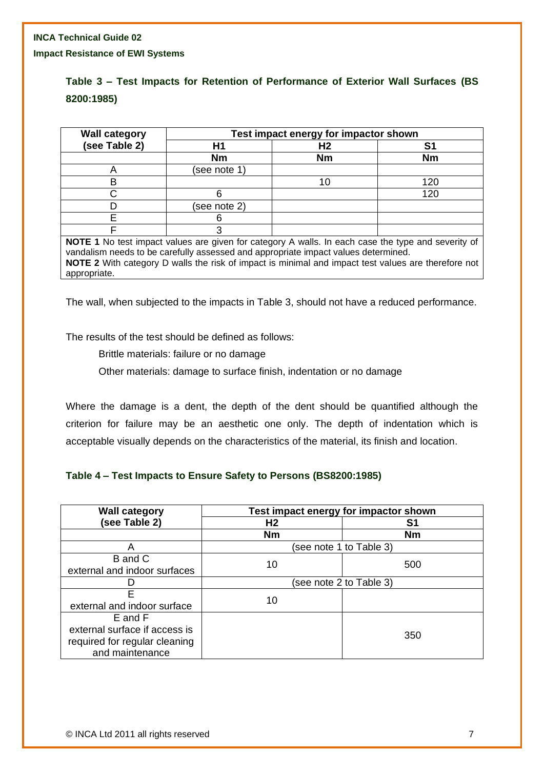#### **INCA Technical Guide 02**

**Impact Resistance of EWI Systems**

## **Table 3 – Test Impacts for Retention of Performance of Exterior Wall Surfaces (BS 8200:1985)**

| <b>Wall category</b>                                                                                                                                                                                                                                                                                   | Test impact energy for impactor shown |           |           |  |
|--------------------------------------------------------------------------------------------------------------------------------------------------------------------------------------------------------------------------------------------------------------------------------------------------------|---------------------------------------|-----------|-----------|--|
| (see Table 2)                                                                                                                                                                                                                                                                                          | Η1                                    | H2        | S1        |  |
|                                                                                                                                                                                                                                                                                                        | <b>Nm</b>                             | <b>Nm</b> | <b>Nm</b> |  |
|                                                                                                                                                                                                                                                                                                        | (see note 1)                          |           |           |  |
|                                                                                                                                                                                                                                                                                                        |                                       | 10        | 120       |  |
|                                                                                                                                                                                                                                                                                                        | հ                                     |           | 120       |  |
|                                                                                                                                                                                                                                                                                                        | (see note 2)                          |           |           |  |
|                                                                                                                                                                                                                                                                                                        |                                       |           |           |  |
|                                                                                                                                                                                                                                                                                                        |                                       |           |           |  |
| NOTE 1 No test impact values are given for category A walls. In each case the type and severity of<br>vandalism needs to be carefully assessed and appropriate impact values determined.<br><b>NOTE 2</b> With category D walls the risk of impact is minimal and impact test values are therefore not |                                       |           |           |  |

appropriate.

The wall, when subjected to the impacts in Table 3, should not have a reduced performance.

The results of the test should be defined as follows:

Brittle materials: failure or no damage

Other materials: damage to surface finish, indentation or no damage

Where the damage is a dent, the depth of the dent should be quantified although the criterion for failure may be an aesthetic one only. The depth of indentation which is acceptable visually depends on the characteristics of the material, its finish and location.

#### **Table 4 – Test Impacts to Ensure Safety to Persons (BS8200:1985)**

| <b>Wall category</b>                                                                         | Test impact energy for impactor shown |                         |  |  |
|----------------------------------------------------------------------------------------------|---------------------------------------|-------------------------|--|--|
| (see Table 2)                                                                                | H <sub>2</sub>                        | S1                      |  |  |
|                                                                                              | <b>Nm</b>                             | <b>Nm</b>               |  |  |
| A                                                                                            |                                       | (see note 1 to Table 3) |  |  |
| B and C<br>external and indoor surfaces                                                      | 10                                    | 500                     |  |  |
|                                                                                              | (see note 2 to Table 3)               |                         |  |  |
| F<br>external and indoor surface                                                             | 10                                    |                         |  |  |
| E and F<br>external surface if access is<br>required for regular cleaning<br>and maintenance |                                       | 350                     |  |  |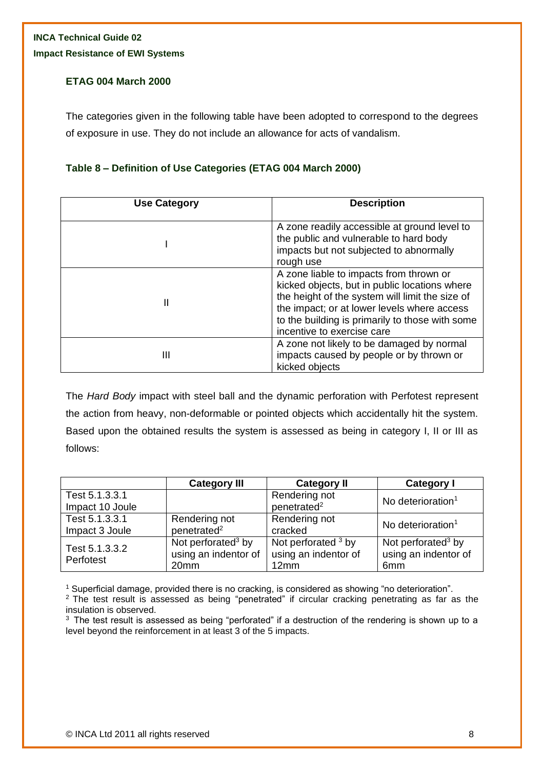#### **ETAG 004 March 2000**

The categories given in the following table have been adopted to correspond to the degrees of exposure in use. They do not include an allowance for acts of vandalism.

#### **Table 8 – Definition of Use Categories (ETAG 004 March 2000)**

| <b>Use Category</b> | <b>Description</b>                                                                                                                                                                                                                                                          |  |
|---------------------|-----------------------------------------------------------------------------------------------------------------------------------------------------------------------------------------------------------------------------------------------------------------------------|--|
|                     | A zone readily accessible at ground level to<br>the public and vulnerable to hard body<br>impacts but not subjected to abnormally<br>rough use                                                                                                                              |  |
| Ш                   | A zone liable to impacts from thrown or<br>kicked objects, but in public locations where<br>the height of the system will limit the size of<br>the impact; or at lower levels where access<br>to the building is primarily to those with some<br>incentive to exercise care |  |
| Ш                   | A zone not likely to be damaged by normal<br>impacts caused by people or by thrown or<br>kicked objects                                                                                                                                                                     |  |

The *Hard Body* impact with steel ball and the dynamic perforation with Perfotest represent the action from heavy, non-deformable or pointed objects which accidentally hit the system. Based upon the obtained results the system is assessed as being in category I, II or III as follows:

|                 | <b>Category III</b>            | <b>Category II</b>      | <b>Category I</b>              |
|-----------------|--------------------------------|-------------------------|--------------------------------|
| Test 5.1.3.3.1  |                                | Rendering not           | No deterioration <sup>1</sup>  |
| Impact 10 Joule |                                | penetrated <sup>2</sup> |                                |
| Test 5.1.3.3.1  | Rendering not                  | Rendering not           | No deterioration <sup>1</sup>  |
| Impact 3 Joule  | penetrated <sup>2</sup>        | cracked                 |                                |
| Test 5.1.3.3.2  | Not perforated <sup>3</sup> by | Not perforated $3$ by   | Not perforated <sup>3</sup> by |
| Perfotest       | using an indentor of           | using an indentor of    | using an indentor of           |
|                 | 20mm                           | 12mm                    | 6 <sub>mm</sub>                |

<sup>1</sup> Superficial damage, provided there is no cracking, is considered as showing "no deterioration".

 $3$  The test result is assessed as being "perforated" if a destruction of the rendering is shown up to a level beyond the reinforcement in at least 3 of the 5 impacts.

<sup>&</sup>lt;sup>2</sup> The test result is assessed as being "penetrated" if circular cracking penetrating as far as the insulation is observed.